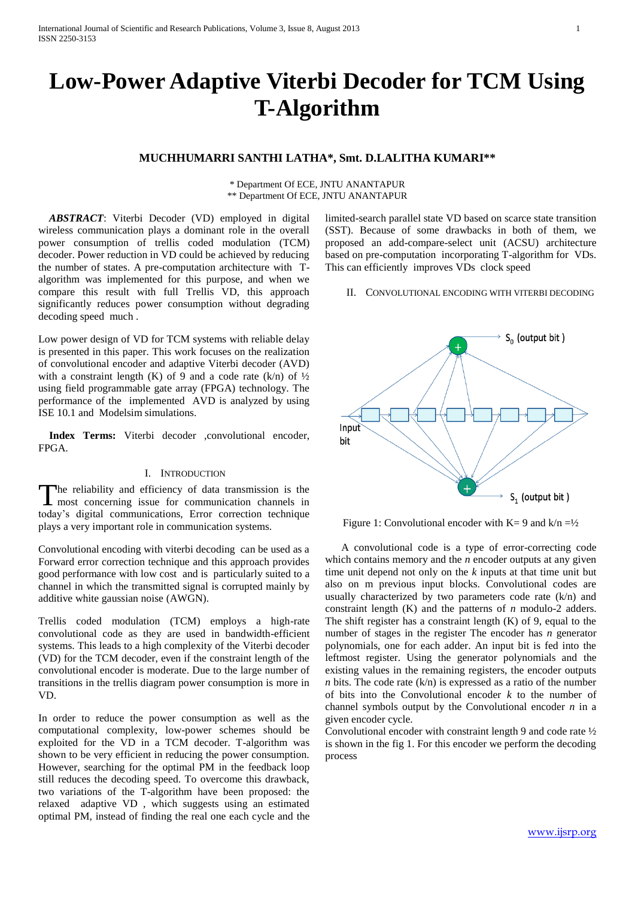# **Low-Power Adaptive Viterbi Decoder for TCM Using T-Algorithm**

# **MUCHHUMARRI SANTHI LATHA\*, Smt. D.LALITHA KUMARI\*\***

\* Department Of ECE, JNTU ANANTAPUR \*\* Department Of ECE, JNTU ANANTAPUR

 *ABSTRACT*: Viterbi Decoder (VD) employed in digital wireless communication plays a dominant role in the overall power consumption of trellis coded modulation (TCM) decoder. Power reduction in VD could be achieved by reducing the number of states. A pre-computation architecture with Talgorithm was implemented for this purpose, and when we compare this result with full Trellis VD, this approach significantly reduces power consumption without degrading decoding speed much .

Low power design of VD for TCM systems with reliable delay is presented in this paper. This work focuses on the realization of convolutional encoder and adaptive Viterbi decoder (AVD) with a constraint length (K) of 9 and a code rate (k/n) of  $\frac{1}{2}$ using field programmable gate array (FPGA) technology. The performance of the implemented AVD is analyzed by using ISE 10.1 and Modelsim simulations.

Index Terms: Viterbi decoder .convolutional encoder. FPGA.

# I. INTRODUCTION

The reliability and efficiency of data transmission is the The reliability and efficiency of data transmission is the most concerning issue for communication channels in today's digital communications, Error correction technique plays a very important role in communication systems.

Convolutional encoding with viterbi decoding can be used as a Forward error correction technique and this approach provides good performance with low cost and is particularly suited to a channel in which the transmitted signal is corrupted mainly by additive white gaussian noise (AWGN).

Trellis coded modulation (TCM) employs a high-rate convolutional code as they are used in bandwidth-efficient systems. This leads to a high complexity of the Viterbi decoder (VD) for the TCM decoder, even if the constraint length of the convolutional encoder is moderate. Due to the large number of transitions in the trellis diagram power consumption is more in VD.

In order to reduce the power consumption as well as the computational complexity, low-power schemes should be exploited for the VD in a TCM decoder. T-algorithm was shown to be very efficient in reducing the power consumption. However, searching for the optimal PM in the feedback loop still reduces the decoding speed. To overcome this drawback, two variations of the T-algorithm have been proposed: the relaxed adaptive VD , which suggests using an estimated optimal PM, instead of finding the real one each cycle and the limited-search parallel state VD based on scarce state transition (SST). Because of some drawbacks in both of them, we proposed an add-compare-select unit (ACSU) architecture based on pre-computation incorporating T-algorithm for VDs. This can efficiently improves VDs clock speed

#### II. CONVOLUTIONAL ENCODING WITH VITERBI DECODING



Figure 1: Convolutional encoder with  $K = 9$  and  $k/n = \frac{1}{2}$ 

 A convolutional code is a type of error-correcting code which contains memory and the *n* encoder outputs at any given time unit depend not only on the *k* inputs at that time unit but also on m previous input blocks. Convolutional codes are usually characterized by two parameters code rate (k/n) and constraint length (K) and the patterns of *n* modulo-2 adders. The shift register has a constraint length  $(K)$  of 9, equal to the number of stages in the register The encoder has *n* generator polynomials, one for each adder. An input bit is fed into the leftmost register. Using the generator polynomials and the existing values in the remaining registers, the encoder outputs *n* bits. The code rate  $(k/n)$  is expressed as a ratio of the number of bits into the Convolutional encoder *k* to the number of channel symbols output by the Convolutional encoder *n* in a given encoder cycle.

Convolutional encoder with constraint length 9 and code rate ½ is shown in the fig 1. For this encoder we perform the decoding process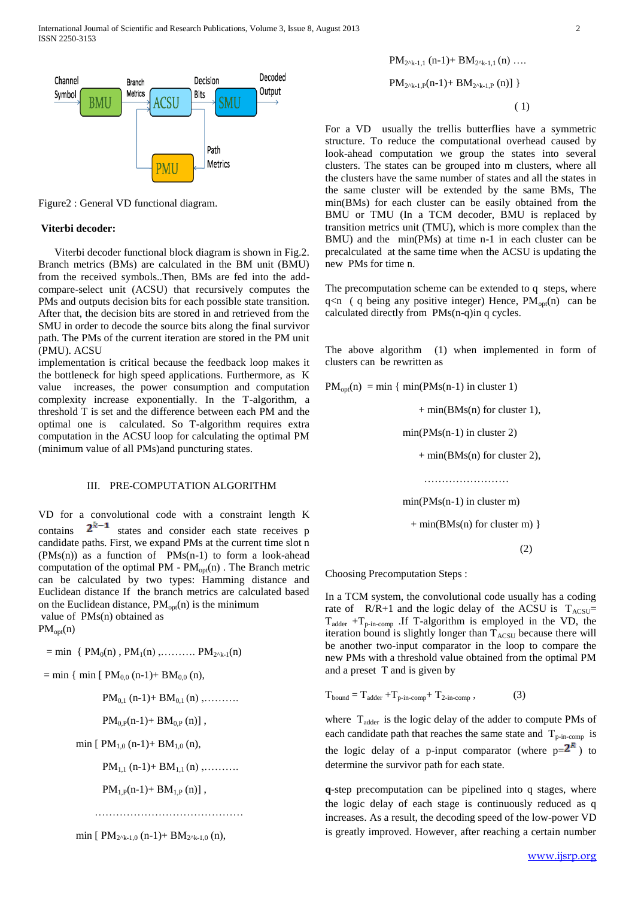

Figure2 : General VD functional diagram.

# **Viterbi decoder:**

 Viterbi decoder functional block diagram is shown in Fig.2. Branch metrics (BMs) are calculated in the BM unit (BMU) from the received symbols..Then, BMs are fed into the addcompare-select unit (ACSU) that recursively computes the PMs and outputs decision bits for each possible state transition. After that, the decision bits are stored in and retrieved from the SMU in order to decode the source bits along the final survivor path. The PMs of the current iteration are stored in the PM unit (PMU). ACSU

implementation is critical because the feedback loop makes it the bottleneck for high speed applications. Furthermore, as K value increases, the power consumption and computation complexity increase exponentially. In the T-algorithm, a threshold T is set and the difference between each PM and the optimal one is calculated. So T-algorithm requires extra computation in the ACSU loop for calculating the optimal PM (minimum value of all PMs)and puncturing states.

# III. PRE-COMPUTATION ALGORITHM

VD for a convolutional code with a constraint length K contains  $2^{k-1}$  states and consider each state receives p candidate paths. First, we expand PMs at the current time slot n  $(PMs(n))$  as a function of  $PMs(n-1)$  to form a look-ahead computation of the optimal PM -  $PM_{\text{opt}}(n)$ . The Branch metric can be calculated by two types: Hamming distance and Euclidean distance If the branch metrics are calculated based on the Euclidean distance,  $PM_{opt}(n)$  is the minimum value of PMs(n) obtained as

 $PM_{opt}(n)$ 

 $=$  min {  $PM_0(n)$ ,  $PM_1(n)$ ,..........  $PM_{2^k-1}(n)$ 

 $=$  min  $\{$  min  $[PM_{0.0} (n-1) + BM_{0.0} (n),$ 

 $PM_{0.1}$  (n-1)+  $BM_{0.1}$  (n),........

 $PM_{0,P}(n-1)+ BM_{0,P}(n)$ ,

min  $[PM_{1,0}(n-1)+BM_{1,0}(n),$ 

 $PM_{1,1}$  (n-1)+  $BM_{1,1}$  (n) , ... ... ...

 $PM_{1,P}(n-1)$ +  $BM_{1,P}(n)$ ],

……………………………………………

min [  $PM_{2^k-1,0}$  (n-1)+  $BM_{2^k-1,0}$  (n),

$$
PM_{2^{A_{k-1}},P}(n-1) + BM_{2^{A_{k-1}},P}(n)]
$$
\n(1)

 $PM_{20k+1}$  (n-1)+ BM<sub>20k-1,1</sub> (n) ….

For a VD usually the trellis butterflies have a symmetric structure. To reduce the computational overhead caused by look-ahead computation we group the states into several clusters. The states can be grouped into m clusters, where all the clusters have the same number of states and all the states in the same cluster will be extended by the same BMs, The min(BMs) for each cluster can be easily obtained from the BMU or TMU (In a TCM decoder, BMU is replaced by transition metrics unit (TMU), which is more complex than the BMU) and the min(PMs) at time n-1 in each cluster can be precalculated at the same time when the ACSU is updating the new PMs for time n.

The precomputation scheme can be extended to q steps, where  $q$ <n ( q being any positive integer) Hence,  $PM_{opt}(n)$  can be calculated directly from PMs(n-q)in q cycles.

The above algorithm (1) when implemented in form of clusters can be rewritten as

 $PM_{opt}(n) = min \{ min(PMs(n-1) in cluster 1)$ 

 $+ min(BMs(n)$  for cluster 1),

min(PMs(n-1) in cluster 2)

 $+ min(BMs(n)$  for cluster 2),

……………………………

min(PMs(n-1) in cluster m)

 $+ min(BMs(n)$  for cluster m) }

(2)

Choosing Precomputation Steps :

In a TCM system, the convolutional code usually has a coding rate of  $R/R+1$  and the logic delay of the ACSU is  $T_{ACSU}$ =  $T_{\text{adder}} + T_{\text{p-in-comp}}$  .If T-algorithm is employed in the VD, the iteration bound is slightly longer than  $T_{\text{ACSU}}$  because there will be another two-input comparator in the loop to compare the new PMs with a threshold value obtained from the optimal PM and a preset T and is given by

$$
T_{bound} = T_{adder} + T_{p-in-comp} + T_{2-in-comp} ,
$$
 (3)

where  $T_{\text{adder}}$  is the logic delay of the adder to compute PMs of each candidate path that reaches the same state and  $T_{p-in-comp}$  is the logic delay of a p-input comparator (where  $p=2^k$ ) to determine the survivor path for each state.

**q**-step precomputation can be pipelined into q stages, where the logic delay of each stage is continuously reduced as q increases. As a result, the decoding speed of the low-power VD is greatly improved. However, after reaching a certain number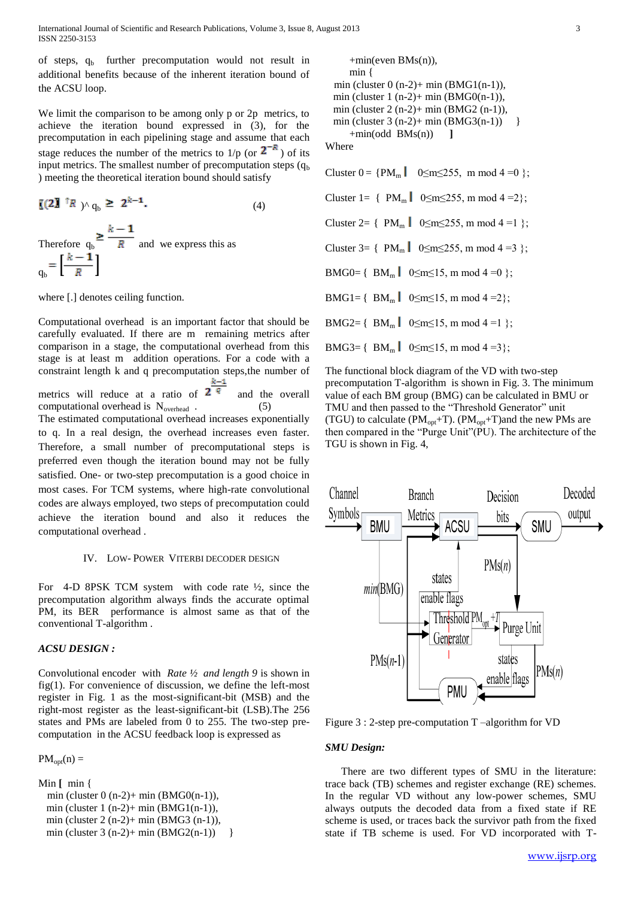of steps,  $q_b$  further precomputation would not result in additional benefits because of the inherent iteration bound of the ACSU loop.

We limit the comparison to be among only p or 2p metrics, to achieve the iteration bound expressed in (3), for the precomputation in each pipelining stage and assume that each stage reduces the number of the metrics to  $1/p$  (or  $2^{-R}$ ) of its input metrics. The smallest number of precomputation steps  $(q_b)$ ) meeting the theoretical iteration bound should satisfy

$$
\begin{aligned} \n\mathbf{[}\left(2\mathbf{I}^{\dagger}R\right) &\wedge q_{\mathbf{b}} \geq 2^{k-1}.\n\end{aligned} \tag{4}
$$
\n
$$
\text{Therefore } q_{\mathbf{b}} \geq \frac{k-1}{R} \text{ and we express this as}
$$
\n
$$
q_{\mathbf{b}} = \left[\frac{k-1}{R}\right]
$$

where [.] denotes ceiling function.

Computational overhead is an important factor that should be carefully evaluated. If there are m remaining metrics after comparison in a stage, the computational overhead from this stage is at least m addition operations. For a code with a constraint length k and q precomputation steps,the number of

metrics will reduce at a ratio of  $2<sup>q</sup>$  and the overall computational overhead is  $N_{overhead}$  (5) The estimated computational overhead increases exponentially to q. In a real design, the overhead increases even faster. Therefore, a small number of precomputational steps is preferred even though the iteration bound may not be fully satisfied. One- or two-step precomputation is a good choice in

most cases. For TCM systems, where high-rate convolutional codes are always employed, two steps of precomputation could achieve the iteration bound and also it reduces the computational overhead .

### IV. LOW- POWER VITERBI DECODER DESIGN

For 4-D 8PSK TCM system with code rate ½, since the precomputation algorithm always finds the accurate optimal PM, its BER performance is almost same as that of the conventional T-algorithm .

### *ACSU DESIGN :*

Convolutional encoder with *Rate ½ and length 9* is shown in fig(1). For convenience of discussion, we define the left-most register in Fig. 1 as the most-significant-bit (MSB) and the right-most register as the least-significant-bit (LSB).The 256 states and PMs are labeled from 0 to 255. The two-step precomputation in the ACSU feedback loop is expressed as

 $PM_{\text{opt}}(n) =$ 

```
Min [ min { 
 min (cluster 0 (n-2)+ min (BMG0(n-1)),
 min (cluster 1 (n-2)+ min (BMG1(n-1)),
  min (cluster 2 (n-2)+ min (BMG3 (n-1)),
 min (cluster 3(n-2) + min(BMG2(n-1)) }
```

```
+min(even BMs(n)), min { 
min (cluster 0 (n-2)+ min (BMG1(n-1)),
 min (cluster 1 (n-2)+ min (BMG0(n-1)),
 min (cluster 2 (n-2)+ min (BMG2 (n-1)),
min (cluster 3 (n-2)+ min (BMG3(n-1)) }
    +min(odd BMs(n)) ]
```
Where

Cluster  $0 = {PM_m \mid 0 \le m \le 255, m \mod 4 = 0}$ ;

Cluster 1=  $\{PM_m \mid 0 \le m \le 255, m \mod 4 = 2\}$ ;

Cluster 2=  $\{PM_m \mid 0 \le m \le 255, m \mod 4 = 1 \};$ 

Cluster 3=  $\{PM_m \mid 0 \le m \le 255, m \mod 4 = 3 \};$ 

BMG0=  $\{BM_m \mid 0 \le m \le 15, m \mod 4 = 0 \};$ 

BMG1={ BM<sub>m</sub>  $0 \le m \le 15$ , m mod 4 = 2};

BMG2= { $BM_m$  | 0 ≤m ≤15, m mod 4 = 1 };

BMG3= {  $BM_m$  |  $0 \le m \le 15$ , m mod 4 = 3};

The functional block diagram of the VD with two-step precomputation T-algorithm is shown in Fig. 3. The minimum value of each BM group (BMG) can be calculated in BMU or TMU and then passed to the "Threshold Generator" unit (TGU) to calculate ( $PM_{opt}$ +T). ( $PM_{opt}$ +T)and the new PMs are then compared in the "Purge Unit"(PU). The architecture of the TGU is shown in Fig. 4,



Figure 3 : 2-step pre-computation T –algorithm for VD

### *SMU Design:*

 There are two different types of SMU in the literature: trace back (TB) schemes and register exchange (RE) schemes. In the regular VD without any low-power schemes, SMU always outputs the decoded data from a fixed state if RE scheme is used, or traces back the survivor path from the fixed state if TB scheme is used. For VD incorporated with T-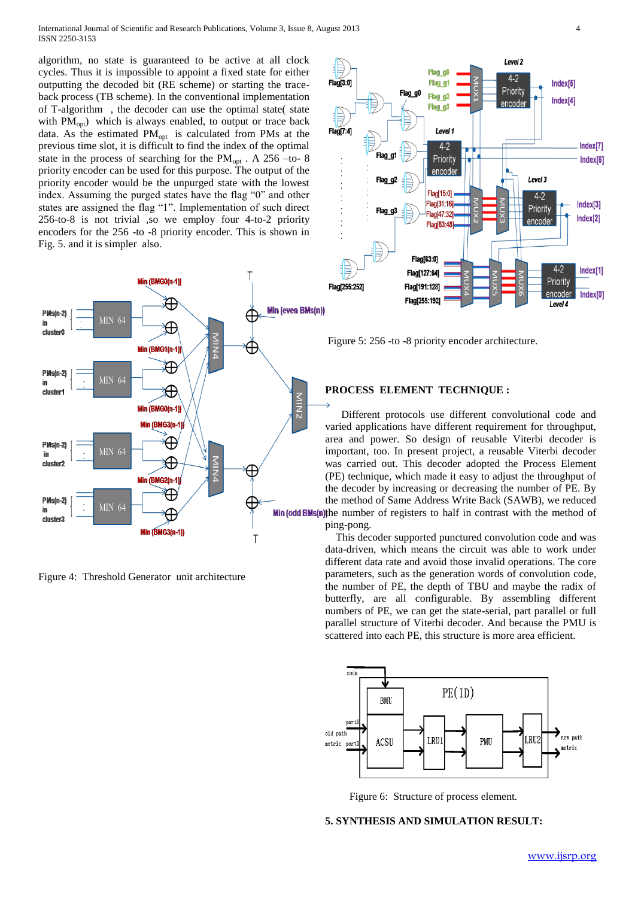International Journal of Scientific and Research Publications, Volume 3, Issue 8, August 2013 4 ISSN 2250-3153

algorithm, no state is guaranteed to be active at all clock cycles. Thus it is impossible to appoint a fixed state for either outputting the decoded bit (RE scheme) or starting the traceback process (TB scheme). In the conventional implementation of T-algorithm , the decoder can use the optimal state( state with  $PM<sub>oot</sub>$ ) which is always enabled, to output or trace back data. As the estimated  $PM_{opt}$  is calculated from PMs at the previous time slot, it is difficult to find the index of the optimal state in the process of searching for the  $PM_{opt}$ . A 256 –to- 8 priority encoder can be used for this purpose. The output of the priority encoder would be the unpurged state with the lowest index. Assuming the purged states have the flag "0" and other states are assigned the flag "1". Implementation of such direct 256-to-8 is not trivial ,so we employ four 4-to-2 priority encoders for the 256 -to -8 priority encoder. This is shown in Fig. 5. and it is simpler also.



Figure 4: Threshold Generator unit architecture



Figure 5: 256 -to -8 priority encoder architecture.

## **PROCESS ELEMENT TECHNIQUE :**

 Different protocols use different convolutional code and varied applications have different requirement for throughput, area and power. So design of reusable Viterbi decoder is important, too. In present project, a reusable Viterbi decoder was carried out. This decoder adopted the Process Element (PE) technique, which made it easy to adjust the throughput of the decoder by increasing or decreasing the number of PE. By the method of Same Address Write Back (SAWB), we reduced Min (odd BMs(n)) the number of registers to half in contrast with the method of ping-pong.

> This decoder supported punctured convolution code and was data-driven, which means the circuit was able to work under different data rate and avoid those invalid operations. The core parameters, such as the generation words of convolution code, the number of PE, the depth of TBU and maybe the radix of butterfly, are all configurable. By assembling different numbers of PE, we can get the state-serial, part parallel or full parallel structure of Viterbi decoder. And because the PMU is scattered into each PE, this structure is more area efficient.



Figure 6: Structure of process element.

# **5. SYNTHESIS AND SIMULATION RESULT:**